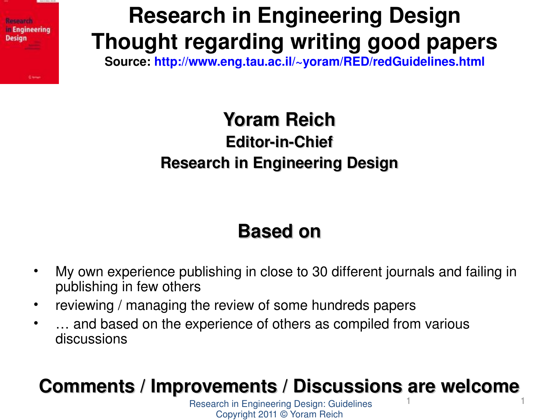

**Research in Engineering Design Thought regarding writing good papers**

**Source: <http://www.eng.tau.ac.il/~yoram/RED/redGuidelines.html>**

### **Yoram Reich Editor-in-Chief Research in Engineering Design**

### **Based on**

- My own experience publishing in close to 30 different journals and failing in publishing in few others
- reviewing / managing the review of some hundreds papers
- ... and based on the experience of others as compiled from various discussions

#### 1 1 **Comments / Improvements / Discussions are welcome**

Research in Engineering Design: Guidelines Copyright 2011 © Yoram Reich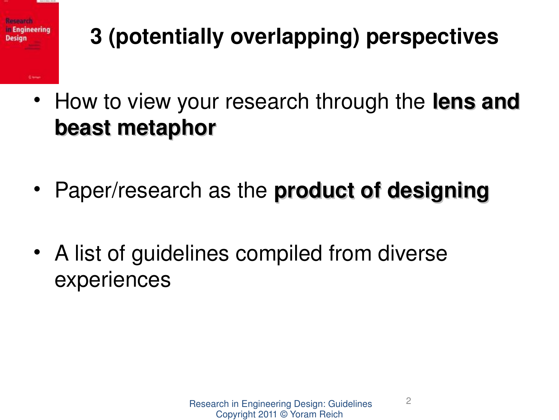

# **3 (potentially overlapping) perspectives**

- How to view your research through the **lens and beast metaphor**
- Paper/research as the **product of designing**
- A list of guidelines compiled from diverse experiences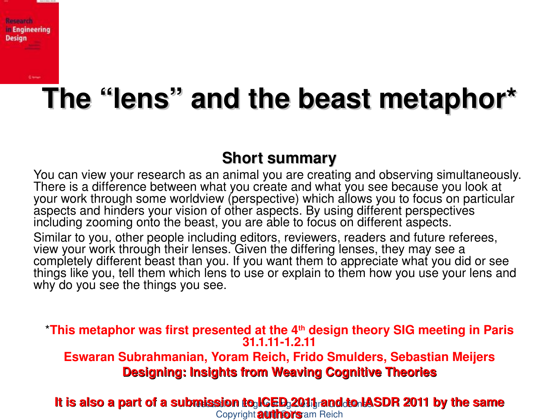

# **The "lens" and the beast metaphor\***

### **Short summary**

You can view your research as an animal you are creating and observing simultaneously. There is a difference between what you create and what you see because you look at your work through some worldview (perspective) which allows you to focus on particular aspects and hinders your vision of other aspects. By using different perspectives including zooming onto the beast, you are able to focus on different aspects.

Similar to you, other people including editors, reviewers, readers and future referees, view your work through their lenses. Given the differing lenses, they may see a completely different beast than you. If you want them to appreciate what you did or see things like you, tell them which lens to use or explain to them how you use your lens and why do you see the things you see.

\***This metaphor was first presented at the 4th design theory SIG meeting in Paris 31.1.111.2.11 Eswaran Subrahmanian, Yoram Reich, Frido Smulders, Sebastian Meijers Designing: Insights from Weaving Cognitive Theories**

#### lt is also a part of a submission to ICED 2011 rand to IASDR 2011 by the same Copyright **authors** am Reich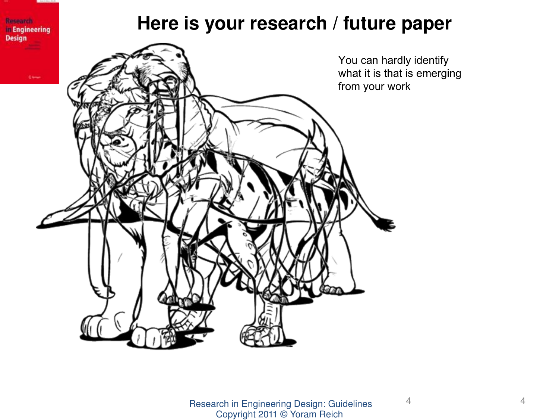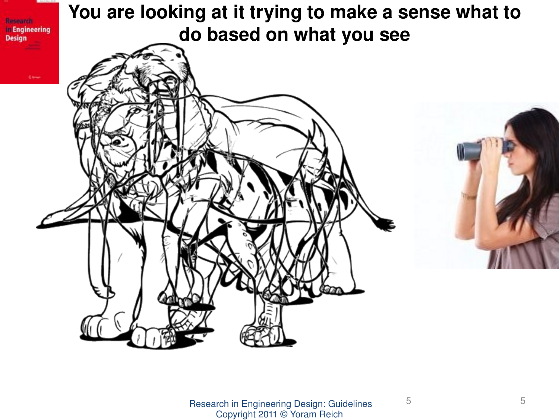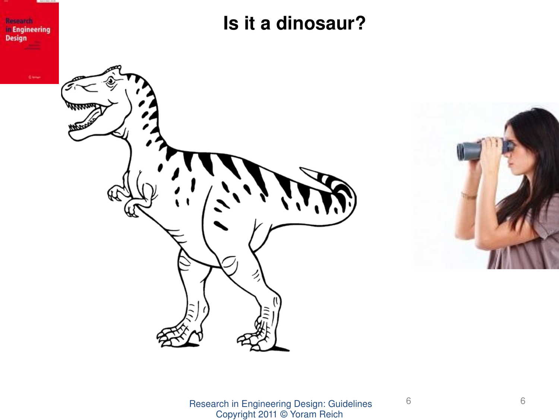

**Is it a dinosaur?**



![](_page_5_Picture_3.jpeg)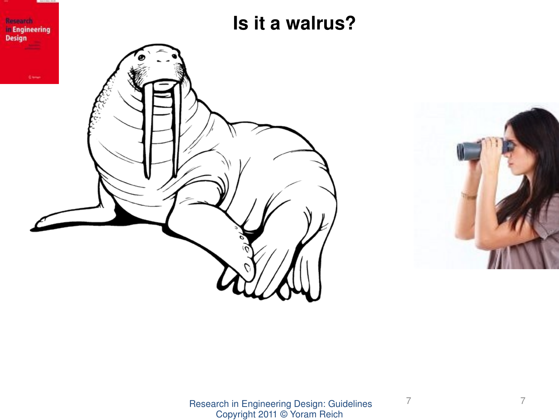![](_page_6_Picture_0.jpeg)

![](_page_6_Picture_1.jpeg)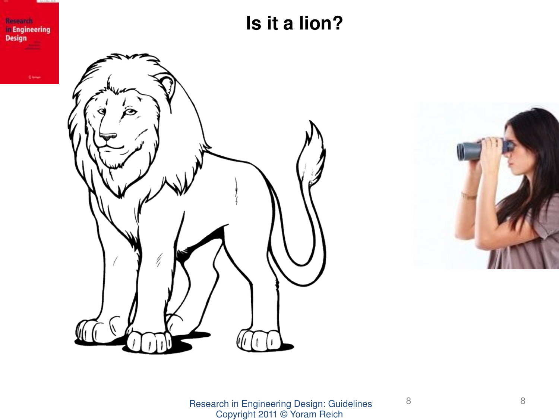Research<br>in Engineering **Design** 

**Is it a lion?**

![](_page_7_Picture_2.jpeg)

![](_page_7_Picture_3.jpeg)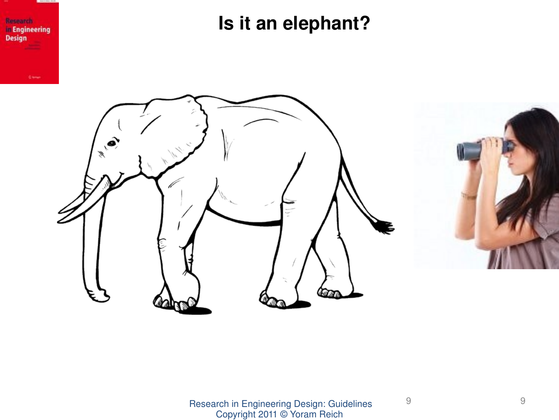Research **In Engineering Design** 

**Is it an elephant?**

![](_page_8_Picture_2.jpeg)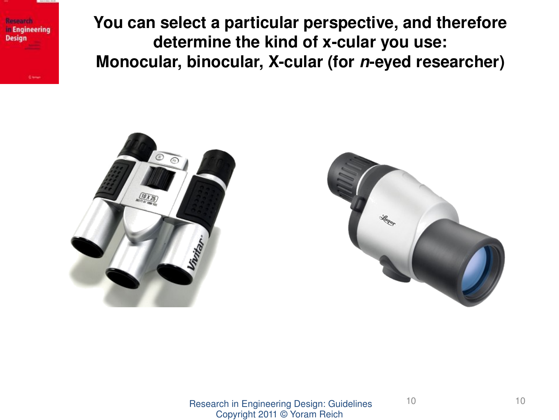**Research In Engineering Design** 

**You can select a particular perspective, and therefore**  determine the kind of x-cular you use: Monocular, binocular, X-cular (for *n*-eyed researcher)

![](_page_9_Picture_2.jpeg)

![](_page_9_Picture_3.jpeg)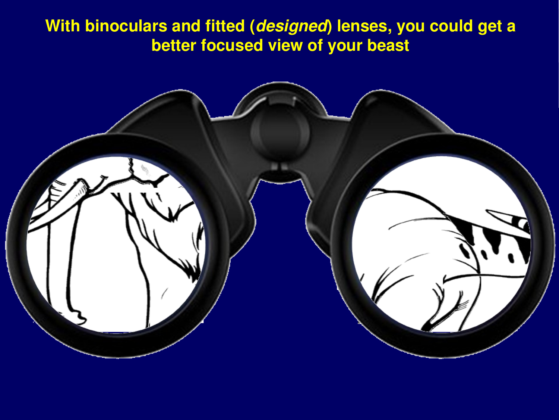### **With binoculars and fitted (***designed***) lenses, you could get a better focused view of your beast**

![](_page_10_Picture_1.jpeg)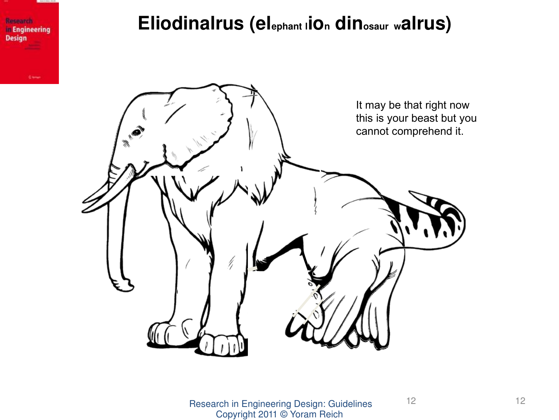![](_page_11_Picture_0.jpeg)

### **Eliodinalrus (elephant <sup>l</sup>ion dinosaur <sup>w</sup>alrus)**

![](_page_11_Picture_2.jpeg)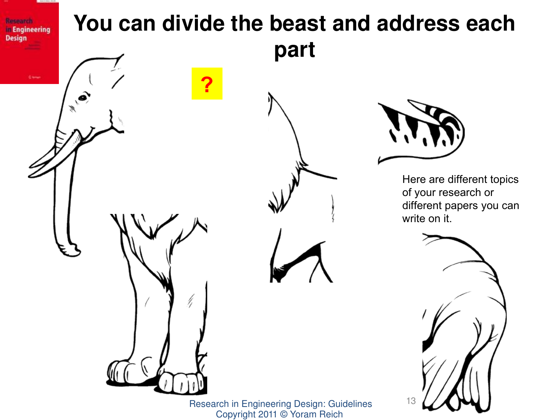![](_page_12_Picture_0.jpeg)

Copyright 2011 © Yoram Reich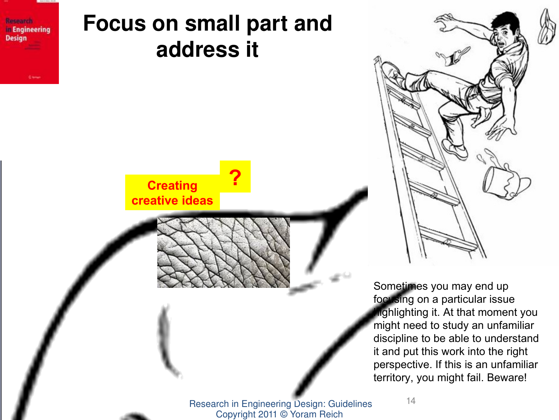![](_page_13_Picture_0.jpeg)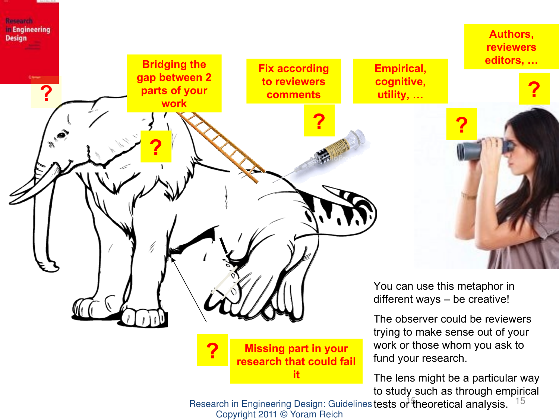![](_page_14_Picture_0.jpeg)

Research in Engineering Design: Guidelines tests or  $\frac{1}{4}$  theoretical analysis.  $15$ Copyright 2011 © Yoram Reich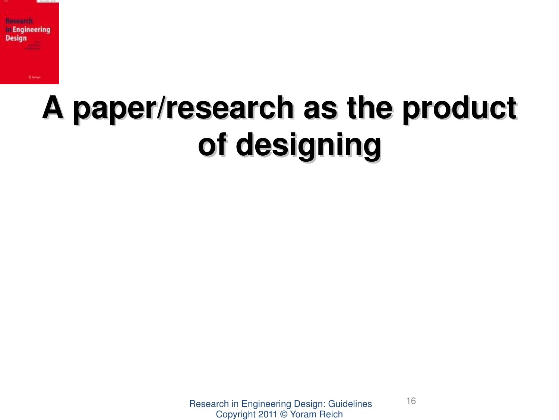![](_page_15_Picture_0.jpeg)

**Ciou** 

# **A paper/research as the product of designing**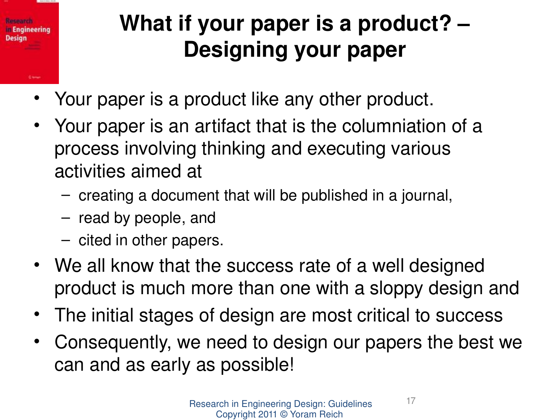# **Research Engineering** Design

# **What if your paper is a product? – Designing your paper**

- Your paper is a product like any other product.
- Your paper is an artifact that is the columniation of a process involving thinking and executing various activities aimed at
	- creating a document that will be published in a journal,
	- read by people, and
	- cited in other papers.
- We all know that the success rate of a well designed product is much more than one with a sloppy design and
- The initial stages of design are most critical to success
- Consequently, we need to design our papers the best we can and as early as possible!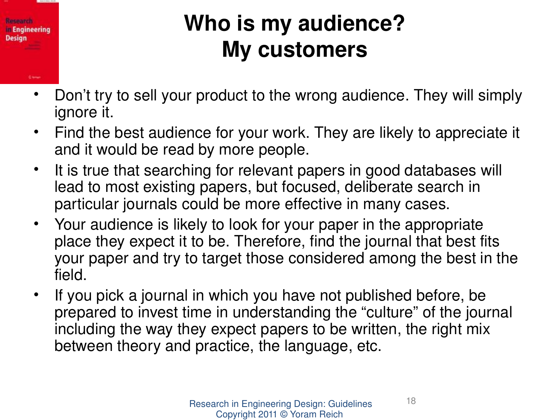![](_page_17_Picture_0.jpeg)

# **Who is my audience? My customers**

- Don't try to sell your product to the wrong audience. They will simply ignore it.
- Find the best audience for your work. They are likely to appreciate it and it would be read by more people.
- It is true that searching for relevant papers in good databases will lead to most existing papers, but focused, deliberate search in particular journals could be more effective in many cases.
- Your audience is likely to look for your paper in the appropriate place they expect it to be. Therefore, find the journal that best fits your paper and try to target those considered among the best in the field.
- If you pick a journal in which you have not published before, be prepared to invest time in understanding the "culture" of the journal including the way they expect papers to be written, the right mix between theory and practice, the language, etc.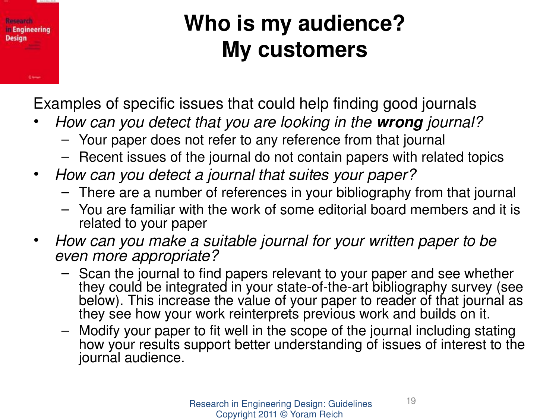### Research **In Engineering Design Given**

# **Who is my audience? My customers**

Examples of specific issues that could help finding good journals

- *How can you detect that you are looking in the wrong journal?* 
	- Your paper does not refer to any reference from that journal
	- Recent issues of the journal do not contain papers with related topics
- *How can you detect a journal that suites your paper?*
	- There are a number of references in your bibliography from that journal
	- You are familiar with the work of some editorial board members and it is related to your paper
- *How can you make a suitable journal for your written paper to be even more appropriate?*
	- Scan the journal to find papers relevant to your paper and see whether they could be integrated in your state-of-the-art bibliography survey (see below). This increase the value of your paper to reader of that journal as they see how your work reinterprets previous work and builds on it.
	- Modify your paper to fit well in the scope of the journal including stating how your results support better understanding of issues of interest to the journal audience.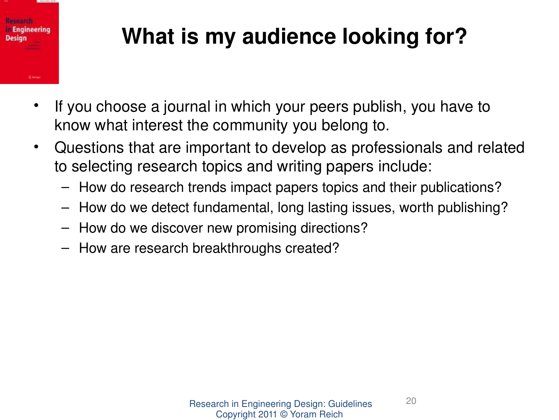# tienennan n Engineering **Design**

# **What is my audience looking for?**

- If you choose a journal in which your peers publish, you have to know what interest the community you belong to.
- Questions that are important to develop as professionals and related to selecting research topics and writing papers include:
	- How do research trends impact papers topics and their publications?
	- How do we detect fundamental, long lasting issues, worth publishing?
	- How do we discover new promising directions?
	- How are research breakthroughs created?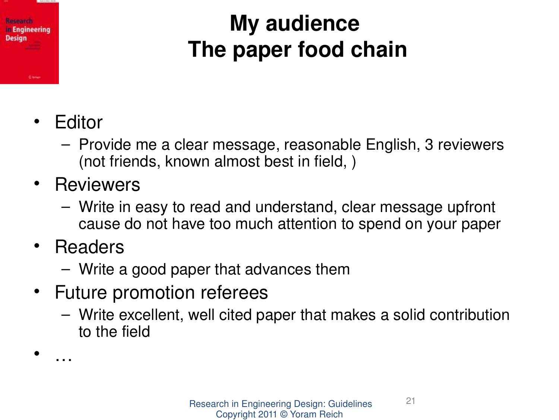# **Reneance Engineering** Design

# **My audience The paper food chain**

- Editor
	- Provide me a clear message, reasonable English, 3 reviewers (not friends, known almost best in field, )
- Reviewers
	- Write in easy to read and understand, clear message upfront cause do not have too much attention to spend on your paper
- Readers

• …

- Write a good paper that advances them
- Future promotion referees
	- Write excellent, well cited paper that makes a solid contribution to the field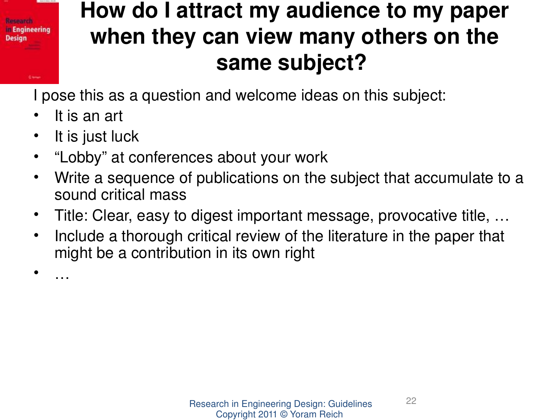## **How do I attract my audience to my paper when they can view many others on the same subject?**

I pose this as a question and welcome ideas on this subject:

It is an art

**Besearch** n Engineering **Design** 

• …

- It is just luck
- "Lobby" at conferences about your work
- Write a sequence of publications on the subject that accumulate to a sound critical mass
- Title: Clear, easy to digest important message, provocative title, …
- Include a thorough critical review of the literature in the paper that might be a contribution in its own right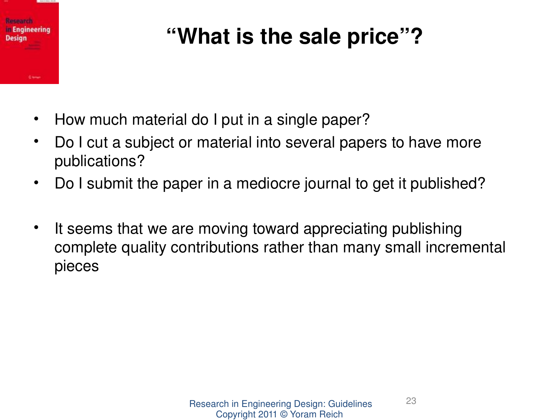![](_page_22_Picture_0.jpeg)

# **"What is the sale price"?**

- How much material do I put in a single paper?
- Do I cut a subject or material into several papers to have more publications?
- Do I submit the paper in a mediocre journal to get it published?
- It seems that we are moving toward appreciating publishing complete quality contributions rather than many small incremental pieces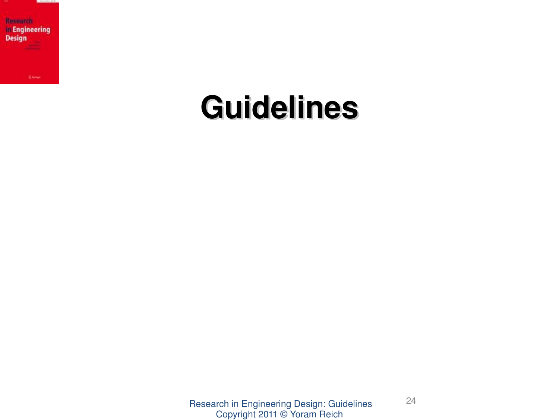![](_page_23_Picture_0.jpeg)

# **Guidelines**

Research in Engineering Design: Guidelines Copyright 2011 © Yoram Reich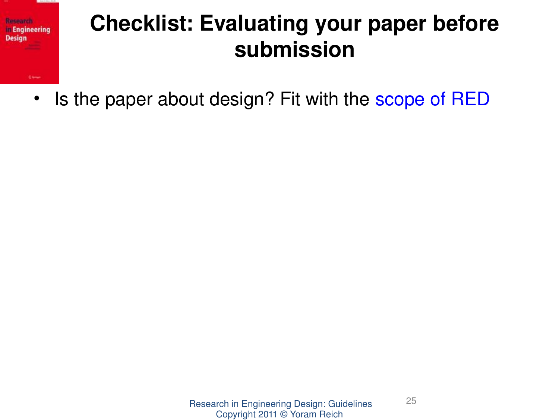![](_page_24_Picture_0.jpeg)

• Is the paper about design? Fit with the [scope of RED](http://www.springer.com/engineering/mechanical+eng/journal/163)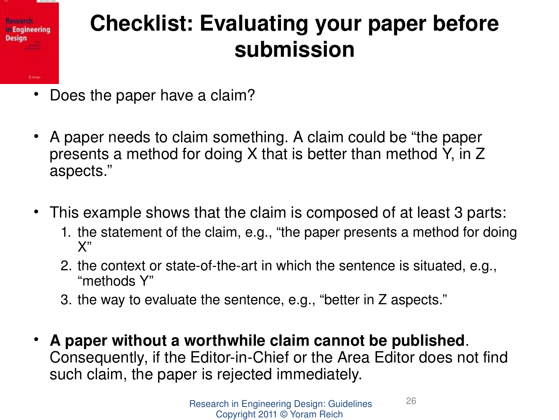![](_page_25_Picture_0.jpeg)

- Does the paper have a claim?
- A paper needs to claim something. A claim could be "the paper presents a method for doing X that is better than method Y, in Z aspects."
- This example shows that the claim is composed of at least 3 parts:
	- 1. the statement of the claim, e.g., "the paper presents a method for doing X"
	- 2. the context or state-of-the-art in which the sentence is situated, e.g., "methods Y"
	- 3. the way to evaluate the sentence, e.g., "better in Z aspects."
- **A paper without a worthwhile claim cannot be published**. Consequently, if the Editor-in-Chief or the Area Editor does not find such claim, the paper is rejected immediately.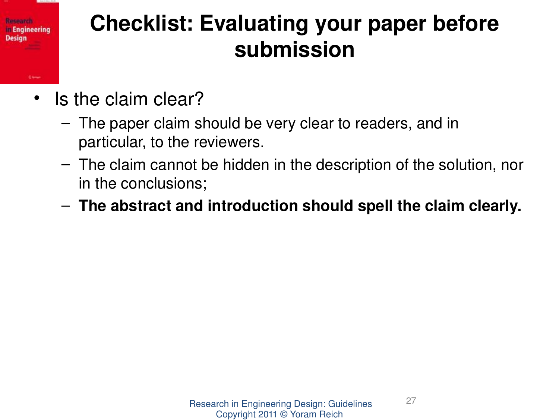• Is the claim clear?

**Researco Engineering** 

**Design** 

**Cieve** 

- The paper claim should be very clear to readers, and in particular, to the reviewers.
- The claim cannot be hidden in the description of the solution, nor in the conclusions;
- **The abstract and introduction should spell the claim clearly.**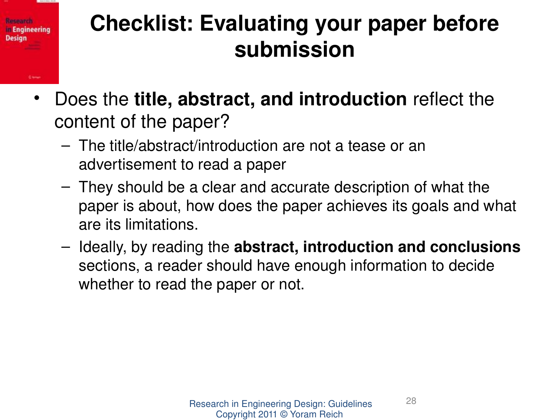- Does the **title, abstract, and introduction** reflect the content of the paper?
	- The title/abstract/introduction are not a tease or an advertisement to read a paper

Kesaarsi n Engineering

Design

**Chine** 

- They should be a clear and accurate description of what the paper is about, how does the paper achieves its goals and what are its limitations.
- Ideally, by reading the **abstract, introduction and conclusions** sections, a reader should have enough information to decide whether to read the paper or not.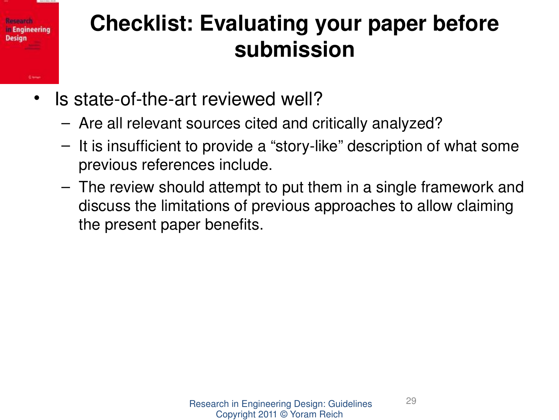#### **Checklist: Evaluating your paper before**  tienennan n Engineering Design **submission**

- Is state-of-the-art reviewed well?
	- Are all relevant sources cited and critically analyzed?
	- $-$  It is insufficient to provide a "story-like" description of what some previous references include.
	- The review should attempt to put them in a single framework and discuss the limitations of previous approaches to allow claiming the present paper benefits.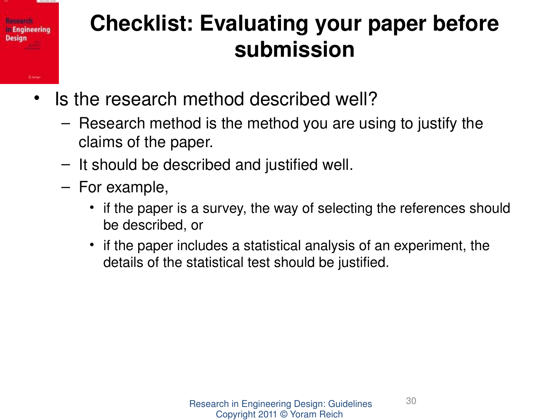### Kesaarsi n Engineering Design **Chine**

# **Checklist: Evaluating your paper before submission**

- Is the research method described well?
	- Research method is the method you are using to justify the claims of the paper.
	- It should be described and justified well.
	- For example,
		- if the paper is a survey, the way of selecting the references should be described, or
		- if the paper includes a statistical analysis of an experiment, the details of the statistical test should be justified.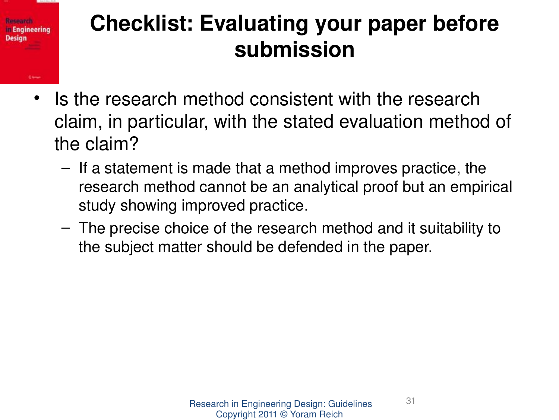![](_page_30_Picture_0.jpeg)

- Is the research method consistent with the research claim, in particular, with the stated evaluation method of the claim?
	- If a statement is made that a method improves practice, the research method cannot be an analytical proof but an empirical study showing improved practice.
	- The precise choice of the research method and it suitability to the subject matter should be defended in the paper.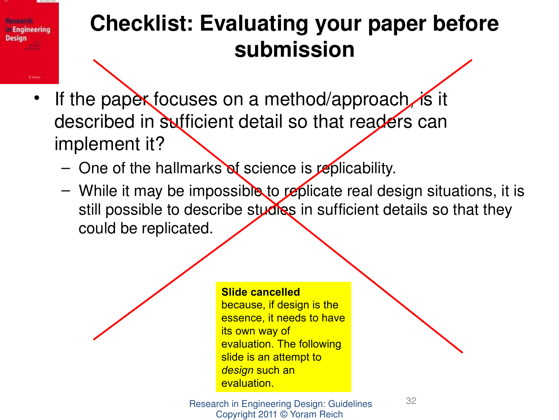- If the papex focuses on a method/approach it described in sufficient detail so that readers can implement it?
	- One of the hallmarks of science is replicability.

**Besearch** n Engineering

**Design** 

– While it may be impossible to replicate real design situations, it is still possible to describe studies in sufficient details so that they could be replicated.

#### **Slide cancelled**

because, if design is the essence, it needs to have its own way of evaluation. The following slide is an attempt to *design* such an evaluation.

Research in Engineering Design: Guidelines Copyright 2011 © Yoram Reich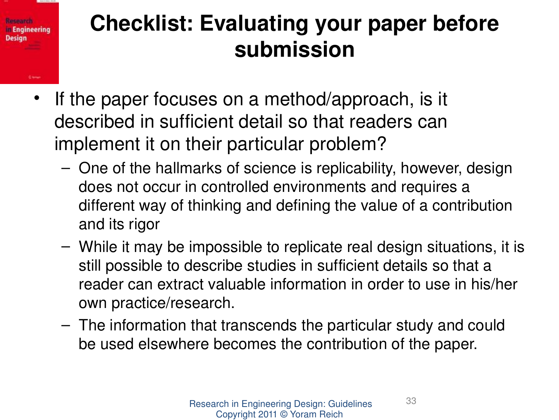• If the paper focuses on a method/approach, is it described in sufficient detail so that readers can implement it on their particular problem?

Keseanse n Engineering

**Given** 

**Design** 

- One of the hallmarks of science is replicability, however, design does not occur in controlled environments and requires a different way of thinking and defining the value of a contribution and its rigor
- While it may be impossible to replicate real design situations, it is still possible to describe studies in sufficient details so that a reader can extract valuable information in order to use in his/her own practice/research.
- The information that transcends the particular study and could be used elsewhere becomes the contribution of the paper.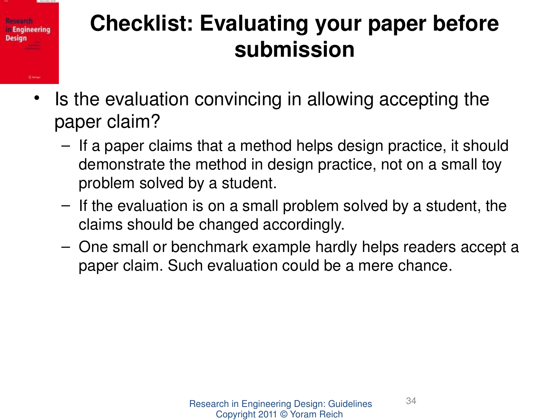• Is the evaluation convincing in allowing accepting the paper claim?

**Research** n Engineering

**Design** 

**Cieve** 

- If a paper claims that a method helps design practice, it should demonstrate the method in design practice, not on a small toy problem solved by a student.
- If the evaluation is on a small problem solved by a student, the claims should be changed accordingly.
- One small or benchmark example hardly helps readers accept a paper claim. Such evaluation could be a mere chance.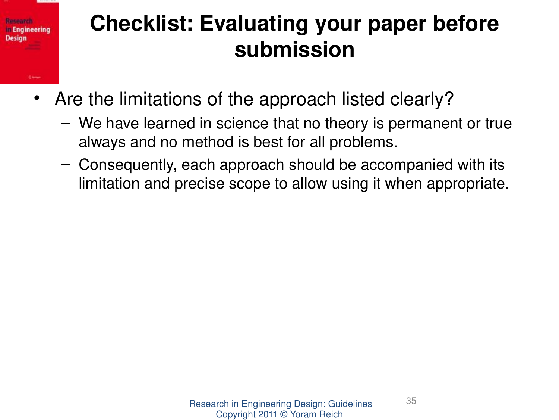# **Besearch** n Engineering Design

# **Checklist: Evaluating your paper before submission**

- Are the limitations of the approach listed clearly?
	- We have learned in science that no theory is permanent or true always and no method is best for all problems.
	- Consequently, each approach should be accompanied with its limitation and precise scope to allow using it when appropriate.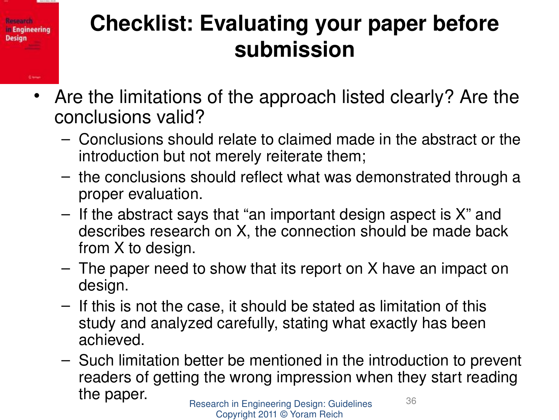Keseanse n Engineering

**Owner** 

**Design** 

- Are the limitations of the approach listed clearly? Are the conclusions valid?
	- Conclusions should relate to claimed made in the abstract or the introduction but not merely reiterate them;
	- the conclusions should reflect what was demonstrated through a proper evaluation.
	- If the abstract says that "an important design aspect is X" and describes research on X, the connection should be made back from X to design.
	- The paper need to show that its report on X have an impact on design.
	- If this is not the case, it should be stated as limitation of this study and analyzed carefully, stating what exactly has been achieved.
	- Research in Engineering Design: Guidelines 36 – Such limitation better be mentioned in the introduction to prevent readers of getting the wrong impression when they start reading the paper.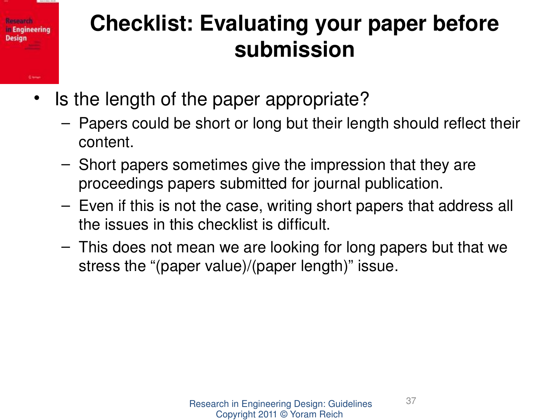• Is the length of the paper appropriate?

Kesaarsi n Engineering

Design

**Cieve** 

- Papers could be short or long but their length should reflect their content.
- Short papers sometimes give the impression that they are proceedings papers submitted for journal publication.
- Even if this is not the case, writing short papers that address all the issues in this checklist is difficult.
- This does not mean we are looking for long papers but that we stress the "(paper value)/(paper length)" issue.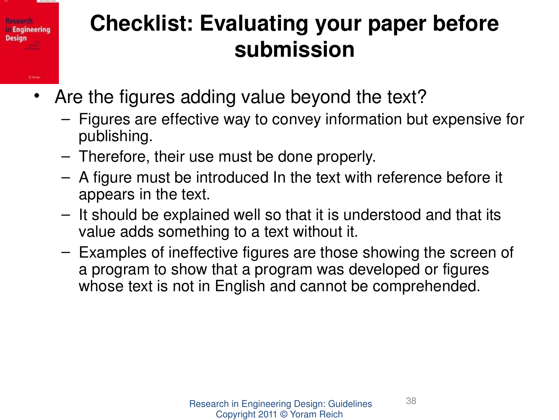- Are the figures adding value beyond the text?
	- Figures are effective way to convey information but expensive for publishing.
	- Therefore, their use must be done properly.

**Besearch** n Engineering

**Claims** 

**Design** 

- A figure must be introduced In the text with reference before it appears in the text.
- It should be explained well so that it is understood and that its value adds something to a text without it.
- Examples of ineffective figures are those showing the screen of a program to show that a program was developed or figures whose text is not in English and cannot be comprehended.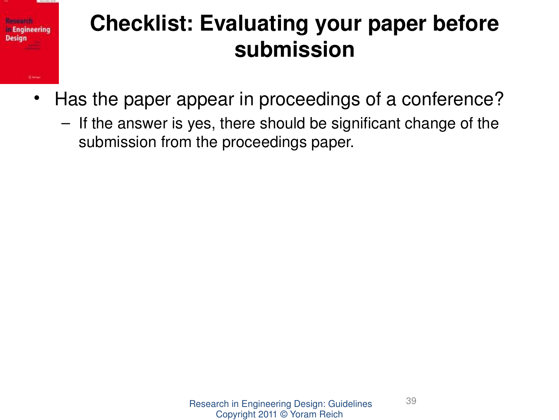![](_page_38_Picture_0.jpeg)

- Has the paper appear in proceedings of a conference?
	- If the answer is yes, there should be significant change of the submission from the proceedings paper.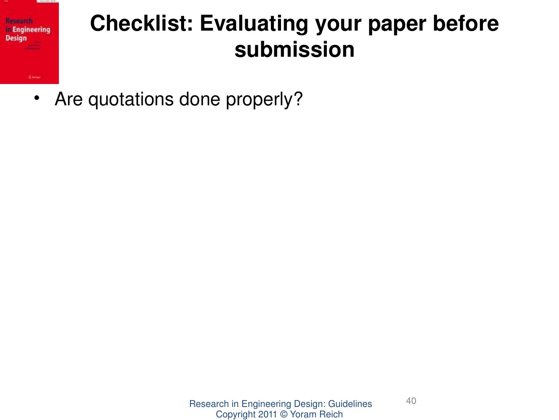![](_page_39_Picture_0.jpeg)

• Are quotations done properly?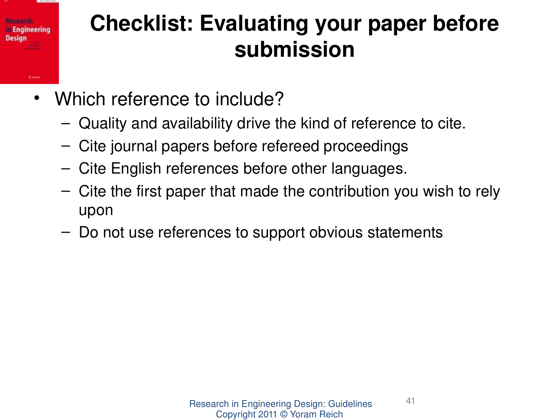### Keseanse n Engineering Design **Cieve**

# **Checklist: Evaluating your paper before submission**

- Which reference to include?
	- Quality and availability drive the kind of reference to cite.
	- Cite journal papers before refereed proceedings
	- Cite English references before other languages.
	- Cite the first paper that made the contribution you wish to rely upon
	- Do not use references to support obvious statements